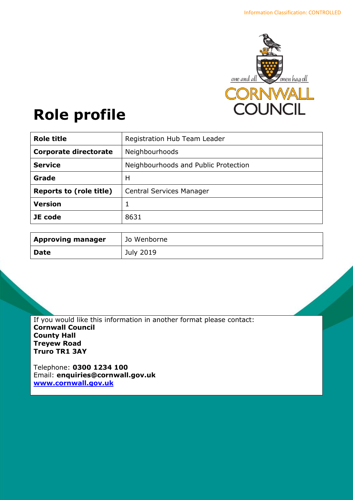

# **Role profile**

| <b>Role title</b>              | Registration Hub Team Leader         |
|--------------------------------|--------------------------------------|
| <b>Corporate directorate</b>   | Neighbourhoods                       |
| <b>Service</b>                 | Neighbourhoods and Public Protection |
| Grade                          | н                                    |
| <b>Reports to (role title)</b> | <b>Central Services Manager</b>      |
| <b>Version</b>                 |                                      |
| JE code                        | 8631                                 |

| <b>Approving manager</b> | Jo Wenborne |
|--------------------------|-------------|
| <b>Date</b>              | July 2019   |

If you would like this information in another format please contact: **Cornwall Council County Hall Treyew Road Truro TR1 3AY**

Telephone: **0300 1234 100** Email: **[enquiries@cornwall.gov.uk](mailto:enquiries@cornwall.gov.uk) [www.cornwall.gov.uk](http://www.cornwall.gov.uk/)**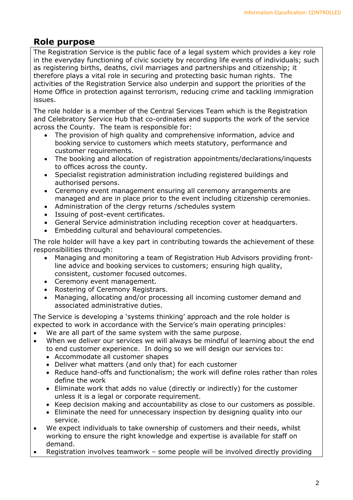## **Role purpose**

The Registration Service is the public face of a legal system which provides a key role in the everyday functioning of civic society by recording life events of individuals; such as registering births, deaths, civil marriages and partnerships and citizenship; it therefore plays a vital role in securing and protecting basic human rights. The activities of the Registration Service also underpin and support the priorities of the Home Office in protection against terrorism, reducing crime and tackling immigration issues.

The role holder is a member of the Central Services Team which is the Registration and Celebratory Service Hub that co-ordinates and supports the work of the service across the County. The team is responsible for:

- The provision of high quality and comprehensive information, advice and booking service to customers which meets statutory, performance and customer requirements.
- The booking and allocation of registration appointments/declarations/inquests to offices across the county.
- Specialist registration administration including registered buildings and authorised persons.
- Ceremony event management ensuring all ceremony arrangements are managed and are in place prior to the event including citizenship ceremonies.
- Administration of the clergy returns /schedules system
- Issuing of post-event certificates.
- General Service administration including reception cover at headquarters.
- Embedding cultural and behavioural competencies.

The role holder will have a key part in contributing towards the achievement of these responsibilities through:

- Managing and monitoring a team of Registration Hub Advisors providing frontline advice and booking services to customers; ensuring high quality, consistent, customer focused outcomes.
- Ceremony event management.
- Rostering of Ceremony Registrars.
- Managing, allocating and/or processing all incoming customer demand and associated administrative duties.

The Service is developing a 'systems thinking' approach and the role holder is expected to work in accordance with the Service's main operating principles:

- We are all part of the same system with the same purpose.
- When we deliver our services we will always be mindful of learning about the end to end customer experience. In doing so we will design our services to:
	- Accommodate all customer shapes
	- Deliver what matters (and only that) for each customer
	- Reduce hand-offs and functionalism; the work will define roles rather than roles define the work
	- Eliminate work that adds no value (directly or indirectly) for the customer unless it is a legal or corporate requirement.
	- Keep decision making and accountability as close to our customers as possible.
	- Eliminate the need for unnecessary inspection by designing quality into our service.
- We expect individuals to take ownership of customers and their needs, whilst working to ensure the right knowledge and expertise is available for staff on demand.
- Registration involves teamwork some people will be involved directly providing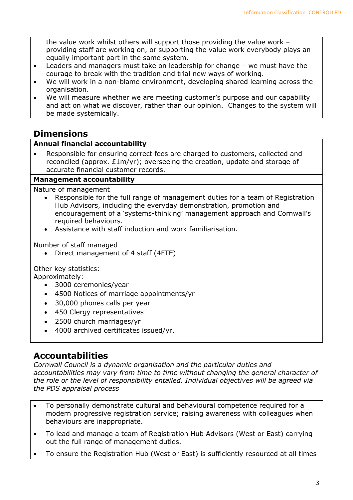the value work whilst others will support those providing the value work – providing staff are working on, or supporting the value work everybody plays an equally important part in the same system.

- Leaders and managers must take on leadership for change we must have the courage to break with the tradition and trial new ways of working.
- We will work in a non-blame environment, developing shared learning across the organisation.
- We will measure whether we are meeting customer's purpose and our capability and act on what we discover, rather than our opinion. Changes to the system will be made systemically.

## **Dimensions**

#### **Annual financial accountability**

 Responsible for ensuring correct fees are charged to customers, collected and reconciled (approx. £1m/yr); overseeing the creation, update and storage of accurate financial customer records.

#### **Management accountability**

Nature of management

- Responsible for the full range of management duties for a team of Registration Hub Advisors, including the everyday demonstration, promotion and encouragement of a 'systems-thinking' management approach and Cornwall's required behaviours.
- Assistance with staff induction and work familiarisation.

Number of staff managed

• Direct management of 4 staff (4FTE)

Other key statistics:

Approximately:

- 3000 ceremonies/year
- 4500 Notices of marriage appointments/yr
- 30,000 phones calls per year
- 450 Clergy representatives
- 2500 church marriages/yr
- 4000 archived certificates issued/yr.

## **Accountabilities**

*Cornwall Council is a dynamic organisation and the particular duties and accountabilities may vary from time to time without changing the general character of the role or the level of responsibility entailed. Individual objectives will be agreed via the PDS appraisal process* 

- To personally demonstrate cultural and behavioural competence required for a modern progressive registration service; raising awareness with colleagues when behaviours are inappropriate.
- To lead and manage a team of Registration Hub Advisors (West or East) carrying out the full range of management duties.
- To ensure the Registration Hub (West or East) is sufficiently resourced at all times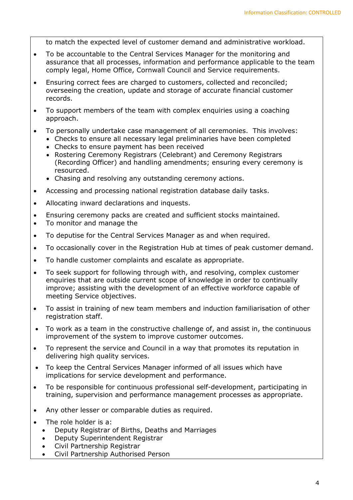to match the expected level of customer demand and administrative workload.

- To be accountable to the Central Services Manager for the monitoring and assurance that all processes, information and performance applicable to the team comply legal, Home Office, Cornwall Council and Service requirements.
- Ensuring correct fees are charged to customers, collected and reconciled; overseeing the creation, update and storage of accurate financial customer records.
- To support members of the team with complex enquiries using a coaching approach.
- To personally undertake case management of all ceremonies. This involves:
	- Checks to ensure all necessary legal preliminaries have been completed
		- Checks to ensure payment has been received
		- Rostering Ceremony Registrars (Celebrant) and Ceremony Registrars (Recording Officer) and handling amendments; ensuring every ceremony is resourced.
		- Chasing and resolving any outstanding ceremony actions.
- Accessing and processing national registration database daily tasks.
- Allocating inward declarations and inquests.
- Ensuring ceremony packs are created and sufficient stocks maintained.
- To monitor and manage the
- To deputise for the Central Services Manager as and when required.
- To occasionally cover in the Registration Hub at times of peak customer demand.
- To handle customer complaints and escalate as appropriate.
- To seek support for following through with, and resolving, complex customer enquiries that are outside current scope of knowledge in order to continually improve; assisting with the development of an effective workforce capable of meeting Service objectives.
- To assist in training of new team members and induction familiarisation of other registration staff.
- To work as a team in the constructive challenge of, and assist in, the continuous improvement of the system to improve customer outcomes.
- To represent the service and Council in a way that promotes its reputation in delivering high quality services.
- To keep the Central Services Manager informed of all issues which have implications for service development and performance.
- To be responsible for continuous professional self-development, participating in training, supervision and performance management processes as appropriate.
- Any other lesser or comparable duties as required.
- The role holder is a:
	- Deputy Registrar of Births, Deaths and Marriages
	- Deputy Superintendent Registrar
	- Civil Partnership Registrar
	- Civil Partnership Authorised Person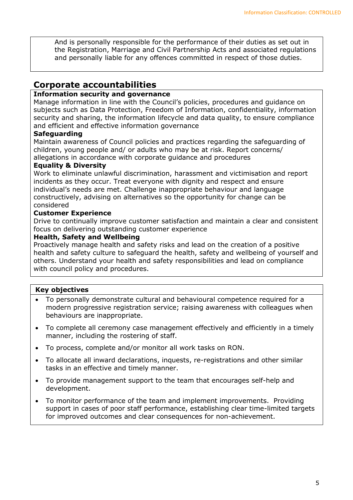And is personally responsible for the performance of their duties as set out in the Registration, Marriage and Civil Partnership Acts and associated regulations and personally liable for any offences committed in respect of those duties.

### **Corporate accountabilities**

#### **Information security and governance**

Manage information in line with the Council's policies, procedures and guidance on subjects such as Data Protection, Freedom of Information, confidentiality, information security and sharing, the information lifecycle and data quality, to ensure compliance and efficient and effective information governance

#### **Safeguarding**

Maintain awareness of Council policies and practices regarding the safeguarding of children, young people and/ or adults who may be at risk. Report concerns/ allegations in accordance with corporate guidance and procedures

#### **Equality & Diversity**

Work to eliminate unlawful discrimination, harassment and victimisation and report incidents as they occur. Treat everyone with dignity and respect and ensure individual's needs are met. Challenge inappropriate behaviour and language constructively, advising on alternatives so the opportunity for change can be considered

#### **Customer Experience**

Drive to continually improve customer satisfaction and maintain a clear and consistent focus on delivering outstanding customer experience

#### **Health, Safety and Wellbeing**

Proactively manage health and safety risks and lead on the creation of a positive health and safety culture to safeguard the health, safety and wellbeing of yourself and others. Understand your health and safety responsibilities and lead on compliance with council policy and procedures.

#### **Key objectives**

- To personally demonstrate cultural and behavioural competence required for a modern progressive registration service; raising awareness with colleagues when behaviours are inappropriate.
- To complete all ceremony case management effectively and efficiently in a timely manner, including the rostering of staff.
- To process, complete and/or monitor all work tasks on RON.
- To allocate all inward declarations, inquests, re-registrations and other similar tasks in an effective and timely manner.
- To provide management support to the team that encourages self-help and development.
- To monitor performance of the team and implement improvements. Providing support in cases of poor staff performance, establishing clear time-limited targets for improved outcomes and clear consequences for non-achievement.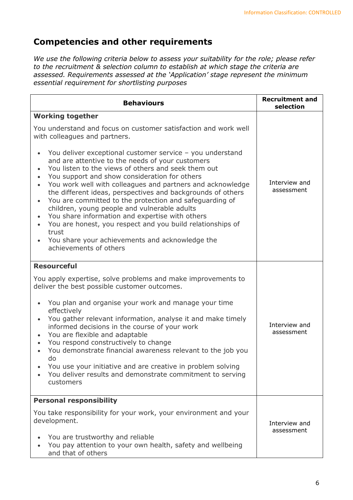# **Competencies and other requirements**

*We use the following criteria below to assess your suitability for the role; please refer to the recruitment & selection column to establish at which stage the criteria are assessed. Requirements assessed at the 'Application' stage represent the minimum essential requirement for shortlisting purposes*

| <b>Behaviours</b>                                                                                                                                                                                                                                                                                                                                                                                                                                                                                                                                                                                                                                                    | <b>Recruitment and</b><br>selection |  |
|----------------------------------------------------------------------------------------------------------------------------------------------------------------------------------------------------------------------------------------------------------------------------------------------------------------------------------------------------------------------------------------------------------------------------------------------------------------------------------------------------------------------------------------------------------------------------------------------------------------------------------------------------------------------|-------------------------------------|--|
| <b>Working together</b>                                                                                                                                                                                                                                                                                                                                                                                                                                                                                                                                                                                                                                              |                                     |  |
| You understand and focus on customer satisfaction and work well<br>with colleagues and partners.                                                                                                                                                                                                                                                                                                                                                                                                                                                                                                                                                                     |                                     |  |
| You deliver exceptional customer service - you understand<br>and are attentive to the needs of your customers<br>You listen to the views of others and seek them out<br>You support and show consideration for others<br>You work well with colleagues and partners and acknowledge<br>the different ideas, perspectives and backgrounds of others<br>You are committed to the protection and safeguarding of<br>children, young people and vulnerable adults<br>You share information and expertise with others<br>You are honest, you respect and you build relationships of<br>trust<br>You share your achievements and acknowledge the<br>achievements of others | Interview and<br>assessment         |  |
| <b>Resourceful</b>                                                                                                                                                                                                                                                                                                                                                                                                                                                                                                                                                                                                                                                   |                                     |  |
| You apply expertise, solve problems and make improvements to<br>deliver the best possible customer outcomes.                                                                                                                                                                                                                                                                                                                                                                                                                                                                                                                                                         |                                     |  |
| You plan and organise your work and manage your time<br>effectively<br>You gather relevant information, analyse it and make timely<br>informed decisions in the course of your work<br>You are flexible and adaptable<br>$\bullet$<br>You respond constructively to change<br>$\bullet$                                                                                                                                                                                                                                                                                                                                                                              | Interview and<br>assessment         |  |
| You demonstrate financial awareness relevant to the job you                                                                                                                                                                                                                                                                                                                                                                                                                                                                                                                                                                                                          |                                     |  |
| do<br>You use your initiative and are creative in problem solving<br>You deliver results and demonstrate commitment to serving<br>customers                                                                                                                                                                                                                                                                                                                                                                                                                                                                                                                          |                                     |  |
| <b>Personal responsibility</b>                                                                                                                                                                                                                                                                                                                                                                                                                                                                                                                                                                                                                                       |                                     |  |
| You take responsibility for your work, your environment and your<br>development.                                                                                                                                                                                                                                                                                                                                                                                                                                                                                                                                                                                     | Interview and<br>assessment         |  |
| You are trustworthy and reliable<br>You pay attention to your own health, safety and wellbeing<br>and that of others                                                                                                                                                                                                                                                                                                                                                                                                                                                                                                                                                 |                                     |  |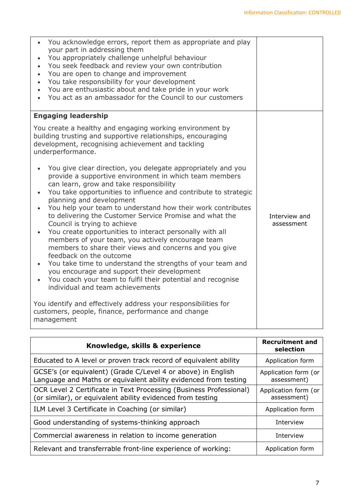| You acknowledge errors, report them as appropriate and play<br>your part in addressing them<br>You appropriately challenge unhelpful behaviour<br>You seek feedback and review your own contribution<br>You are open to change and improvement<br>You take responsibility for your development<br>$\bullet$<br>You are enthusiastic about and take pride in your work<br>You act as an ambassador for the Council to our customers                                                                                                                                                                                                                                                                                                                                                                                                                            |                             |
|---------------------------------------------------------------------------------------------------------------------------------------------------------------------------------------------------------------------------------------------------------------------------------------------------------------------------------------------------------------------------------------------------------------------------------------------------------------------------------------------------------------------------------------------------------------------------------------------------------------------------------------------------------------------------------------------------------------------------------------------------------------------------------------------------------------------------------------------------------------|-----------------------------|
| <b>Engaging leadership</b><br>You create a healthy and engaging working environment by                                                                                                                                                                                                                                                                                                                                                                                                                                                                                                                                                                                                                                                                                                                                                                        |                             |
| building trusting and supportive relationships, encouraging<br>development, recognising achievement and tackling<br>underperformance.                                                                                                                                                                                                                                                                                                                                                                                                                                                                                                                                                                                                                                                                                                                         |                             |
| You give clear direction, you delegate appropriately and you<br>provide a supportive environment in which team members<br>can learn, grow and take responsibility<br>You take opportunities to influence and contribute to strategic<br>planning and development<br>You help your team to understand how their work contributes<br>$\bullet$<br>to delivering the Customer Service Promise and what the<br>Council is trying to achieve<br>You create opportunities to interact personally with all<br>members of your team, you actively encourage team<br>members to share their views and concerns and you give<br>feedback on the outcome<br>You take time to understand the strengths of your team and<br>you encourage and support their development<br>You coach your team to fulfil their potential and recognise<br>individual and team achievements | Interview and<br>assessment |
| You identify and effectively address your responsibilities for<br>customers, people, finance, performance and change<br>management                                                                                                                                                                                                                                                                                                                                                                                                                                                                                                                                                                                                                                                                                                                            |                             |

| Knowledge, skills & experience                                                                                                   | <b>Recruitment and</b><br>selection |
|----------------------------------------------------------------------------------------------------------------------------------|-------------------------------------|
| Educated to A level or proven track record of equivalent ability                                                                 | Application form                    |
| GCSE's (or equivalent) (Grade C/Level 4 or above) in English<br>Language and Maths or equivalent ability evidenced from testing  | Application form (or<br>assessment) |
| OCR Level 2 Certificate in Text Processing (Business Professional)<br>(or similar), or equivalent ability evidenced from testing | Application form (or<br>assessment) |
| ILM Level 3 Certificate in Coaching (or similar)                                                                                 | Application form                    |
| Good understanding of systems-thinking approach                                                                                  | Interview                           |
| Commercial awareness in relation to income generation                                                                            | Interview                           |
| Relevant and transferrable front-line experience of working:                                                                     | Application form                    |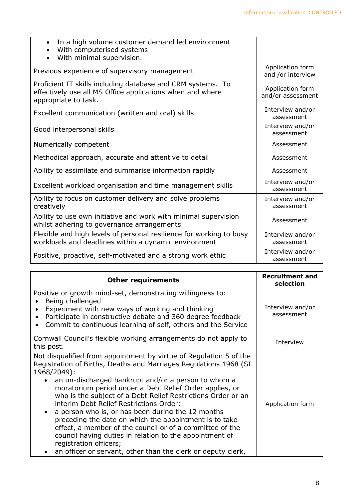| In a high volume customer demand led environment<br>$\bullet$<br>With computerised systems<br>With minimal supervision.                          |                                       |
|--------------------------------------------------------------------------------------------------------------------------------------------------|---------------------------------------|
| Previous experience of supervisory management                                                                                                    | Application form<br>and /or interview |
| Proficient IT skills including database and CRM systems. To<br>effectively use all MS Office applications when and where<br>appropriate to task. | Application form<br>and/or assessment |
| Excellent communication (written and oral) skills                                                                                                | Interview and/or<br>assessment        |
| Good interpersonal skills                                                                                                                        | Interview and/or<br>assessment        |
| Numerically competent                                                                                                                            | Assessment                            |
| Methodical approach, accurate and attentive to detail                                                                                            | Assessment                            |
| Ability to assimilate and summarise information rapidly                                                                                          | Assessment                            |
| Excellent workload organisation and time management skills                                                                                       | Interview and/or<br>assessment        |
| Ability to focus on customer delivery and solve problems<br>creatively                                                                           | Interview and/or<br>assessment        |
| Ability to use own initiative and work with minimal supervision<br>whilst adhering to governance arrangements                                    | Assessment                            |
| Flexible and high levels of personal resilience for working to busy<br>workloads and deadlines within a dynamic environment                      | Interview and/or<br>assessment        |
| Positive, proactive, self-motivated and a strong work ethic                                                                                      | Interview and/or<br>assessment        |

| <b>Other requirements</b>                                                                                                                                                                                                                                                                                                                                                                                                                                                                                                                                                                                                                                                                                           | <b>Recruitment and</b><br>selection |
|---------------------------------------------------------------------------------------------------------------------------------------------------------------------------------------------------------------------------------------------------------------------------------------------------------------------------------------------------------------------------------------------------------------------------------------------------------------------------------------------------------------------------------------------------------------------------------------------------------------------------------------------------------------------------------------------------------------------|-------------------------------------|
| Positive or growth mind-set, demonstrating willingness to:<br>Being challenged<br>Experiment with new ways of working and thinking<br>Participate in constructive debate and 360 degree feedback<br>Commit to continuous learning of self, others and the Service<br>$\bullet$                                                                                                                                                                                                                                                                                                                                                                                                                                      | Interview and/or<br>assessment      |
| Cornwall Council's flexible working arrangements do not apply to<br>this post.                                                                                                                                                                                                                                                                                                                                                                                                                                                                                                                                                                                                                                      | Interview                           |
| Not disqualified from appointment by virtue of Regulation 5 of the<br>Registration of Births, Deaths and Marriages Regulations 1968 (SI<br>1968/2049):<br>an un-discharged bankrupt and/or a person to whom a<br>moratorium period under a Debt Relief Order applies, or<br>who is the subject of a Debt Relief Restrictions Order or an<br>interim Debt Relief Restrictions Order;<br>a person who is, or has been during the 12 months<br>preceding the date on which the appointment is to take<br>effect, a member of the council or of a committee of the<br>council having duties in relation to the appointment of<br>registration officers;<br>an officer or servant, other than the clerk or deputy clerk, | Application form                    |